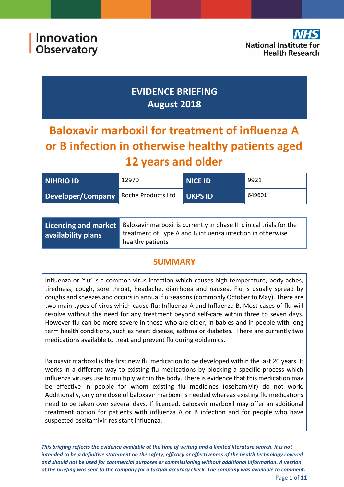## **EVIDENCE BRIEFING August 2018**

# **Baloxavir marboxil for treatment of influenza A or B infection in otherwise healthy patients aged 12 years and older**

| <b>NIHRIO ID</b>                     | 12970 | <b>NICE ID</b> | 9921   |
|--------------------------------------|-------|----------------|--------|
| Developer/Company Roche Products Ltd |       | <b>UKPS ID</b> | 649601 |
|                                      |       |                |        |

| Licencing and market | Baloxavir marboxil is currently in phase III clinical trials for the           |  |
|----------------------|--------------------------------------------------------------------------------|--|
| availability plans   | treatment of Type A and B influenza infection in otherwise<br>healthy patients |  |

## **SUMMARY**

Influenza or 'flu' is a common virus infection which causes high temperature, body aches, tiredness, cough, sore throat, headache, diarrhoea and nausea. Flu is usually spread by coughs and sneezes and occurs in annual flu seasons (commonly October to May). There are two main types of virus which cause flu: Influenza A and Influenza B. Most cases of flu will resolve without the need for any treatment beyond self-care within three to seven days. However flu can be more severe in those who are older, in babies and in people with long term health conditions, such as heart disease, asthma or diabetes. There are currently two medications available to treat and prevent flu during epidemics.

Baloxavir marboxil is the first new flu medication to be developed within the last 20 years. It works in a different way to existing flu medications by blocking a specific process which influenza viruses use to multiply within the body. There is evidence that this medication may be effective in people for whom existing flu medicines (oseltamivir) do not work. Additionally, only one dose of baloxavir marboxil is needed whereas existing flu medications need to be taken over several days. If licenced, baloxavir marboxil may offer an additional treatment option for patients with influenza A or B infection and for people who have suspected oseltamivir-resistant influenza.

*This briefing reflects the evidence available at the time of writing and a limited literature search. It is not intended to be a definitive statement on the safety, efficacy or effectiveness of the health technology covered and should not be used for commercial purposes or commissioning without additional information. A version of the briefing was sent to the company for a factual accuracy check. The company was available to comment.*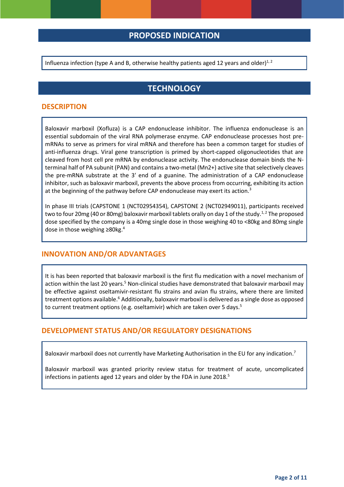## **PROPOSED INDICATION**

Influenza infection (type A and B, otherwise healthy patients aged 12 years and older)<sup>1,2</sup>

## <span id="page-1-1"></span><span id="page-1-0"></span>**TECHNOLOGY**

#### **DESCRIPTION**

Baloxavir marboxil (Xofluza) is a CAP endonuclease inhibitor. The influenza endonuclease is an essential subdomain of the viral RNA polymerase enzyme. CAP endonuclease processes host premRNAs to serve as primers for viral mRNA and therefore has been a common target for studies of anti-influenza drugs. Viral gene transcription is primed by short-capped oligonucleotides that are cleaved from host cell pre mRNA by endonuclease activity. The endonuclease domain binds the Nterminal half of PA subunit (PAN) and contains a two-metal (Mn2+) active site that selectively cleaves the pre-mRNA substrate at the 3′ end of a guanine. The administration of a CAP endonuclease inhibitor, such as baloxavir marboxil, prevents the above process from occurring, exhibiting its action at the beginning of the pathway before CAP endonuclease may exert its action.<sup>3</sup>

In phase III trials (CAPSTONE 1 (NCT02954354), CAPSTONE 2 (NCT02949011), participants received two to four 20mg (40 or 80mg) baloxavir marboxil tablets orally on day 1 of the study.<sup>[1,](#page-1-0)2</sup> The proposed dose specified by the company is a 40mg single dose in those weighing 40 to <80kg and 80mg single dose in those weighing ≥80kg.<sup>4</sup>

#### **INNOVATION AND/OR ADVANTAGES**

<span id="page-1-2"></span>It is has been reported that baloxavir marboxil is the first flu medication with a novel mechanism of action within the last 20 years.<sup>5</sup> Non-clinical studies have demonstrated that baloxavir marboxil may be effective against oseltamivir-resistant flu strains and avian flu strains, where there are limited treatment options available.<sup>6</sup> Additionally, baloxavir marboxil is delivered as a single dose as opposed to current treatment options (e[.](#page-1-2)g. oseltamivir) which are taken over 5 days.<sup>5</sup>

#### **DEVELOPMENT STATUS AND/OR REGULATORY DESIGNATIONS**

Baloxavir marboxil does not currently have Marketing Authorisation in the EU for any indication.<sup>7</sup>

Baloxavir marboxil was granted priority review status for treatment of acute, uncomplicated infections in patients aged 12 years and older by the FDA in June 2018.<sup>[5](#page-1-2)</sup>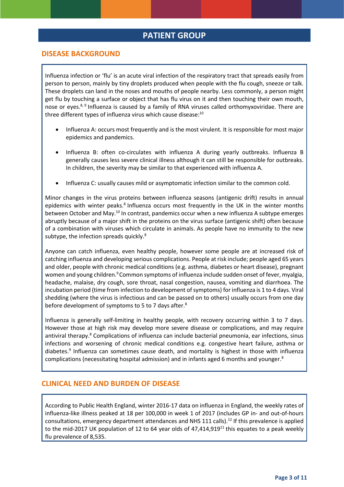## <span id="page-2-1"></span>**PATIENT GROUP**

#### **DISEASE BACKGROUND**

Influenza infection or 'flu' is an acute viral infection of the respiratory tract that spreads easily from person to person, mainly by tiny droplets produced when people with the flu cough, sneeze or talk. These droplets can land in the noses and mouths of people nearby. Less commonly, a person might get flu by touching a surface or object that has flu virus on it and then touching their own mouth, nose or eyes.<sup>8, 9</sup> Influenza is caused by a family of RNA viruses called orthomyxoviridae. There are three different types of influenza virus which cause disease:<sup>10</sup>

- <span id="page-2-2"></span><span id="page-2-0"></span> Influenza A: occurs most frequently and is the most virulent. It is responsible for most major epidemics and pandemics.
- Influenza B: often co-circulates with influenza A during yearly outbreaks. Influenza B generally causes less severe clinical illness although it can still be responsible for outbreaks. In children, the severity may be similar to that experienced with influenza A.
- Influenza C: usually causes mild or asymptomatic infection similar to the common cold.

Minor changes in the virus proteins between influenza seasons (antigenic drift) results in annual epidemics with winter peaks.<sup>[8](#page-2-0)</sup> Influenza occurs most frequently in the UK in the winter months between October and May.<sup>[10](#page-2-1)</sup> In contrast, pandemics occur when a new influenza A subtype emerges abruptly because of a major shift in the proteins on the virus surface (antigenic shift) often because of a combination with viruses which circulate in animals. As people have no immunity to the new subtype, the infection spreads quickly.<sup>[8](#page-2-0)</sup>

Anyone can catch influenza, even healthy people, however some people are at increased risk of catching influenza and developing serious complications. People at risk include; people aged 65 years and older, people with chronic medical conditions (e.g. asthma, diabetes or heart disease), pregnant women and young childre[n.](#page-2-2)<sup>9</sup> Common symptoms of influenza include sudden onset of fever, myalgia, headache, malaise, dry cough, sore throat, nasal congestion, nausea, vomiting and diarrhoea. The incubation period (time from infection to development of symptoms) for influenza is 1 to 4 days. Viral shedding (where the virus is infectious and can be passed on to others) usually occurs from one day before development of symptoms to 5 to 7 days after.<sup>8</sup>

Influenza is generally self-limiting in healthy people, with recovery occurring within 3 to 7 days. However those at high risk may develop more severe disease or complications, and may require antiviral therapy.<sup>[8](#page-2-0)</sup> Complications of influenza can include bacterial pneumonia, ear infections, sinus infections and worsening of chronic medical conditions e.g. congestive heart failure, asthma or diabetes[.](#page-2-2)<sup>9</sup> Influenza can sometimes cause death, and mortality is highest in those with influenza complications (necessitating hospital admission) and in infants aged 6 months and younger[.](#page-2-0)<sup>8</sup>

#### **CLINICAL NEED AND BURDEN OF DISEASE**

According to Public Health England, winter 2016-17 data on influenza in England, the weekly rates of influenza-like illness peaked at 18 per 100,000 in week 1 of 2017 (includes GP in- and out-of-hours consultations, emergency department attendances and NHS 111 calls).<sup>[12](#page-3-0)</sup> If this prevalence is applied to the mid-2017 UK population of 12 to 64 year olds of  $47,414,919<sup>11</sup>$  this equates to a peak weekly flu prevalence of 8,535.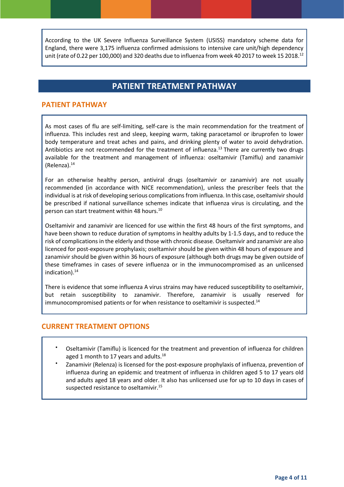According to the UK Severe Influenza Surveillance System (USISS) mandatory scheme data for England, there were 3,175 influenza confirmed admissions to intensive care unit/high dependency unit (rate of 0.22 per 100,000) and 320 deaths due to influenza from week 40 2017 to week 15 2018.<sup>12</sup>

## <span id="page-3-0"></span>**PATIENT TREATMENT PATHWAY**

#### **PATIENT PATHWAY**

As most cases of flu are self-limiting, self-care is the main recommendation for the treatment of influenza. This includes rest and sleep, keeping warm, taking paracetamol or ibruprofen to lower body temperature and treat aches and pains, and drinking plenty of water to avoid dehydration. Antibiotics are not recommended for the treatment of influenza.<sup>13</sup> There are currently two drugs available for the treatment and management of influenza: oseltamivir (Tamiflu) and zanamivir (Relenza). $14$ 

<span id="page-3-1"></span>For an otherwise healthy person, antiviral drugs (oseltamivir or zanamivir) are not usually recommended (in accordance with NICE recommendation), unless the prescriber feels that the individual is at risk of developing serious complications from influenza. In this case, oseltamivir should be prescribed if national surveillance schemes indicate that influenza virus is circulating, and the person can start treatment within 48 hours.[10](#page-2-1)

Oseltamivir and zanamivir are licenced for use within the first 48 hours of the first symptoms, and have been shown to reduce duration of symptoms in healthy adults by 1-1.5 days, and to reduce the risk of complications in the elderly and those with chronic disease. Oseltamivir and zanamivir are also licenced for post-exposure prophylaxis; oseltamivir should be given within 48 hours of exposure and zanamivir should be given within 36 hours of exposure (although both drugs may be given outside of these timeframes in cases of severe influenza or in the immunocompromised as an unlicensed indication). $14$ 

There is evidence that some influenza A virus strains may have reduced susceptibility to oseltamivir, but retain susceptibility to zanamivir. Therefore, zanamivir is usually reserved for immunocompromised patients or for when resistance to oseltamivir is suspected.<sup>[14](#page-3-1)</sup>

#### **CURRENT TREATMENT OPTIONS**

- Oseltamivir (Tamiflu) is licenced for the treatment and prevention of influenza for children aged 1 month to 17 years and adults.<sup>[18](#page-8-0)</sup>
- $\bullet$ Zanamivir (Relenza) is licensed for the post-exposure prophylaxis of influenza, prevention of influenza during an epidemic and treatment of influenza in children aged 5 to 17 years old and adults aged 18 years and older. It also has unlicensed use for up to 10 days in cases of suspected resistance to oseltamivir.<sup>15</sup>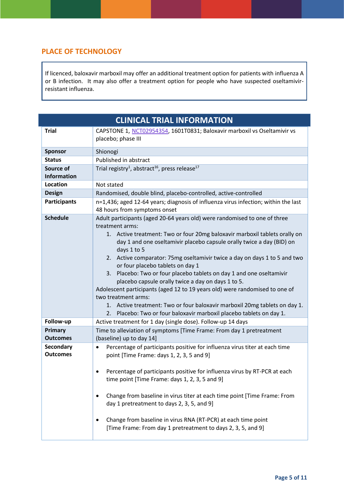## **PLACE OF TECHNOLOGY**

If licenced, baloxavir marboxil may offer an additional treatment option for patients with influenza A or B infection. It may also offer a treatment option for people who have suspected oseltamivirresistant influenza.

<span id="page-4-1"></span><span id="page-4-0"></span>

| <b>CLINICAL TRIAL INFORMATION</b> |                                                                                                                                                                                                                                                                                                                                                                                                                                                                                                                                                                                                                                                                                                                                                                               |
|-----------------------------------|-------------------------------------------------------------------------------------------------------------------------------------------------------------------------------------------------------------------------------------------------------------------------------------------------------------------------------------------------------------------------------------------------------------------------------------------------------------------------------------------------------------------------------------------------------------------------------------------------------------------------------------------------------------------------------------------------------------------------------------------------------------------------------|
| <b>Trial</b>                      | CAPSTONE 1, NCT02954354, 1601T0831; Baloxavir marboxil vs Oseltamivir vs<br>placebo; phase III                                                                                                                                                                                                                                                                                                                                                                                                                                                                                                                                                                                                                                                                                |
| <b>Sponsor</b>                    | Shionogi                                                                                                                                                                                                                                                                                                                                                                                                                                                                                                                                                                                                                                                                                                                                                                      |
| <b>Status</b>                     | Published in abstract                                                                                                                                                                                                                                                                                                                                                                                                                                                                                                                                                                                                                                                                                                                                                         |
| Source of                         | Trial registry <sup>1</sup> , abstract <sup>16</sup> , press release <sup>17</sup>                                                                                                                                                                                                                                                                                                                                                                                                                                                                                                                                                                                                                                                                                            |
| Information                       |                                                                                                                                                                                                                                                                                                                                                                                                                                                                                                                                                                                                                                                                                                                                                                               |
| Location                          | Not stated                                                                                                                                                                                                                                                                                                                                                                                                                                                                                                                                                                                                                                                                                                                                                                    |
| <b>Design</b>                     | Randomised, double blind, placebo-controlled, active-controlled                                                                                                                                                                                                                                                                                                                                                                                                                                                                                                                                                                                                                                                                                                               |
| <b>Participants</b>               | n=1,436; aged 12-64 years; diagnosis of influenza virus infection; within the last<br>48 hours from symptoms onset                                                                                                                                                                                                                                                                                                                                                                                                                                                                                                                                                                                                                                                            |
| <b>Schedule</b>                   | Adult participants (aged 20-64 years old) were randomised to one of three<br>treatment arms:<br>1. Active treatment: Two or four 20mg baloxavir marboxil tablets orally on<br>day 1 and one oseltamivir placebo capsule orally twice a day (BID) on<br>days 1 to 5<br>2. Active comparator: 75mg oseltamivir twice a day on days 1 to 5 and two<br>or four placebo tablets on day 1<br>3. Placebo: Two or four placebo tablets on day 1 and one oseltamivir<br>placebo capsule orally twice a day on days 1 to 5.<br>Adolescent participants (aged 12 to 19 years old) were randomised to one of<br>two treatment arms:<br>1. Active treatment: Two or four baloxavir marboxil 20mg tablets on day 1.<br>2. Placebo: Two or four baloxavir marboxil placebo tablets on day 1. |
| Follow-up                         | Active treatment for 1 day (single dose). Follow-up 14 days                                                                                                                                                                                                                                                                                                                                                                                                                                                                                                                                                                                                                                                                                                                   |
| Primary<br><b>Outcomes</b>        | Time to alleviation of symptoms [Time Frame: From day 1 pretreatment<br>(baseline) up to day 14]                                                                                                                                                                                                                                                                                                                                                                                                                                                                                                                                                                                                                                                                              |
| Secondary<br><b>Outcomes</b>      | Percentage of participants positive for influenza virus titer at each time<br>$\bullet$<br>point [Time Frame: days 1, 2, 3, 5 and 9]<br>Percentage of participants positive for influenza virus by RT-PCR at each<br>time point [Time Frame: days 1, 2, 3, 5 and 9]<br>Change from baseline in virus titer at each time point [Time Frame: From<br>day 1 pretreatment to days 2, 3, 5, and 9]<br>Change from baseline in virus RNA (RT-PCR) at each time point<br>[Time Frame: From day 1 pretreatment to days 2, 3, 5, and 9]                                                                                                                                                                                                                                                |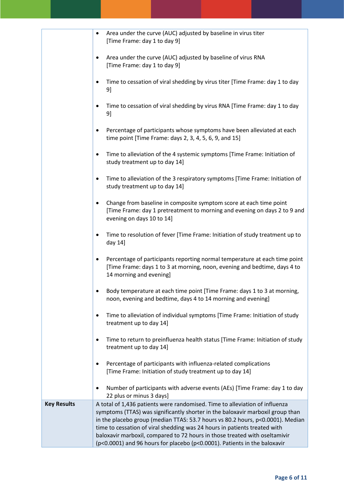|                    | Area under the curve (AUC) adjusted by baseline in virus titer<br>٠<br>[Time Frame: day 1 to day 9]                                                                                                                                                                                                                                                                                                                                                                                     |
|--------------------|-----------------------------------------------------------------------------------------------------------------------------------------------------------------------------------------------------------------------------------------------------------------------------------------------------------------------------------------------------------------------------------------------------------------------------------------------------------------------------------------|
|                    | Area under the curve (AUC) adjusted by baseline of virus RNA<br>[Time Frame: day 1 to day 9]                                                                                                                                                                                                                                                                                                                                                                                            |
|                    | Time to cessation of viral shedding by virus titer [Time Frame: day 1 to day<br>٠<br>9]                                                                                                                                                                                                                                                                                                                                                                                                 |
|                    | Time to cessation of viral shedding by virus RNA [Time Frame: day 1 to day<br>9]                                                                                                                                                                                                                                                                                                                                                                                                        |
|                    | Percentage of participants whose symptoms have been alleviated at each<br>٠<br>time point [Time Frame: days 2, 3, 4, 5, 6, 9, and 15]                                                                                                                                                                                                                                                                                                                                                   |
|                    | Time to alleviation of the 4 systemic symptoms [Time Frame: Initiation of<br>٠<br>study treatment up to day 14]                                                                                                                                                                                                                                                                                                                                                                         |
|                    | Time to alleviation of the 3 respiratory symptoms [Time Frame: Initiation of<br>٠<br>study treatment up to day 14]                                                                                                                                                                                                                                                                                                                                                                      |
|                    | Change from baseline in composite symptom score at each time point<br>[Time Frame: day 1 pretreatment to morning and evening on days 2 to 9 and<br>evening on days 10 to 14]                                                                                                                                                                                                                                                                                                            |
|                    | Time to resolution of fever [Time Frame: Initiation of study treatment up to<br>٠<br>day 14]                                                                                                                                                                                                                                                                                                                                                                                            |
|                    | Percentage of participants reporting normal temperature at each time point<br>[Time Frame: days 1 to 3 at morning, noon, evening and bedtime, days 4 to<br>14 morning and evening]                                                                                                                                                                                                                                                                                                      |
|                    | Body temperature at each time point [Time Frame: days 1 to 3 at morning,<br>noon, evening and bedtime, days 4 to 14 morning and evening]                                                                                                                                                                                                                                                                                                                                                |
|                    | Time to alleviation of individual symptoms [Time Frame: Initiation of study<br>$\bullet$<br>treatment up to day 14]                                                                                                                                                                                                                                                                                                                                                                     |
|                    | Time to return to preinfluenza health status [Time Frame: Initiation of study<br>$\bullet$<br>treatment up to day 14]                                                                                                                                                                                                                                                                                                                                                                   |
|                    | Percentage of participants with influenza-related complications<br>٠<br>[Time Frame: Initiation of study treatment up to day 14]                                                                                                                                                                                                                                                                                                                                                        |
|                    | Number of participants with adverse events (AEs) [Time Frame: day 1 to day<br>22 plus or minus 3 days]                                                                                                                                                                                                                                                                                                                                                                                  |
| <b>Key Results</b> | A total of 1,436 patients were randomised. Time to alleviation of influenza<br>symptoms (TTAS) was significantly shorter in the baloxavir marboxil group than<br>in the placebo group (median TTAS: 53.7 hours vs 80.2 hours, p<0.0001). Median<br>time to cessation of viral shedding was 24 hours in patients treated with<br>baloxavir marboxil, compared to 72 hours in those treated with oseltamivir<br>(p<0.0001) and 96 hours for placebo (p<0.0001). Patients in the baloxavir |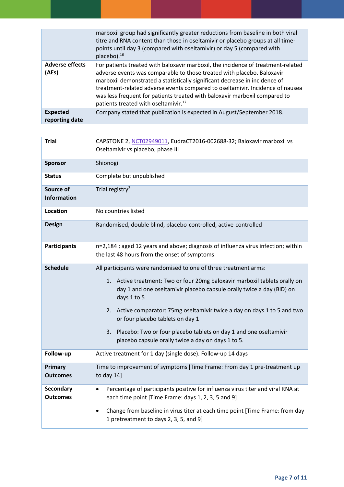|                                   | marboxil group had significantly greater reductions from baseline in both viral<br>titre and RNA content than those in oseltamivir or placebo groups at all time-<br>points until day 3 (compared with oseltamivir) or day 5 (compared with<br>placebo). <sup>16</sup>                                                                                                                                                                                      |
|-----------------------------------|-------------------------------------------------------------------------------------------------------------------------------------------------------------------------------------------------------------------------------------------------------------------------------------------------------------------------------------------------------------------------------------------------------------------------------------------------------------|
| <b>Adverse effects</b><br>(AEs)   | For patients treated with baloxavir marboxil, the incidence of treatment-related<br>adverse events was comparable to those treated with placebo. Baloxavir<br>marboxil demonstrated a statistically significant decrease in incidence of<br>treatment-related adverse events compared to oseltamivir. Incidence of nausea<br>was less frequent for patients treated with baloxavir marboxil compared to<br>patients treated with oseltamivir. <sup>17</sup> |
| <b>Expected</b><br>reporting date | Company stated that publication is expected in August/September 2018.                                                                                                                                                                                                                                                                                                                                                                                       |

| <b>Trial</b>                    | CAPSTONE 2, NCT02949011, EudraCT2016-002688-32; Baloxavir marboxil vs<br>Oseltamivir vs placebo; phase III                                                                                                                                                                                                                                                                                                                                                                            |  |
|---------------------------------|---------------------------------------------------------------------------------------------------------------------------------------------------------------------------------------------------------------------------------------------------------------------------------------------------------------------------------------------------------------------------------------------------------------------------------------------------------------------------------------|--|
| <b>Sponsor</b>                  | Shionogi                                                                                                                                                                                                                                                                                                                                                                                                                                                                              |  |
| <b>Status</b>                   | Complete but unpublished                                                                                                                                                                                                                                                                                                                                                                                                                                                              |  |
| Source of<br><b>Information</b> | Trial registry <sup>2</sup>                                                                                                                                                                                                                                                                                                                                                                                                                                                           |  |
| <b>Location</b>                 | No countries listed                                                                                                                                                                                                                                                                                                                                                                                                                                                                   |  |
| <b>Design</b>                   | Randomised, double blind, placebo-controlled, active-controlled                                                                                                                                                                                                                                                                                                                                                                                                                       |  |
| <b>Participants</b>             | n=2,184; aged 12 years and above; diagnosis of influenza virus infection; within<br>the last 48 hours from the onset of symptoms                                                                                                                                                                                                                                                                                                                                                      |  |
| <b>Schedule</b>                 | All participants were randomised to one of three treatment arms:<br>1. Active treatment: Two or four 20mg baloxavir marboxil tablets orally on<br>day 1 and one oseltamivir placebo capsule orally twice a day (BID) on<br>days 1 to 5<br>2. Active comparator: 75mg oseltamivir twice a day on days 1 to 5 and two<br>or four placebo tablets on day 1<br>3. Placebo: Two or four placebo tablets on day 1 and one oseltamivir<br>placebo capsule orally twice a day on days 1 to 5. |  |
| Follow-up                       | Active treatment for 1 day (single dose). Follow-up 14 days                                                                                                                                                                                                                                                                                                                                                                                                                           |  |
| Primary<br>Outcomes             | Time to improvement of symptoms [Time Frame: From day 1 pre-treatment up<br>to day 14]                                                                                                                                                                                                                                                                                                                                                                                                |  |
| Secondary<br>Outcomes           | Percentage of participants positive for influenza virus titer and viral RNA at<br>$\bullet$<br>each time point [Time Frame: days 1, 2, 3, 5 and 9]<br>Change from baseline in virus titer at each time point [Time Frame: from day<br>$\bullet$<br>1 pretreatment to days 2, 3, 5, and 9]                                                                                                                                                                                             |  |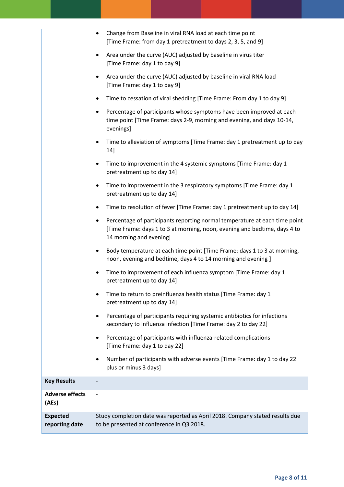|                                   | Change from Baseline in viral RNA load at each time point<br>$\bullet$<br>[Time Frame: from day 1 pretreatment to days 2, 3, 5, and 9]                                                          |
|-----------------------------------|-------------------------------------------------------------------------------------------------------------------------------------------------------------------------------------------------|
|                                   | Area under the curve (AUC) adjusted by baseline in virus titer<br>$\bullet$<br>[Time Frame: day 1 to day 9]                                                                                     |
|                                   | Area under the curve (AUC) adjusted by baseline in viral RNA load<br>$\bullet$<br>[Time Frame: day 1 to day 9]                                                                                  |
|                                   | Time to cessation of viral shedding [Time Frame: From day 1 to day 9]<br>٠                                                                                                                      |
|                                   | Percentage of participants whose symptoms have been improved at each<br>$\bullet$<br>time point [Time Frame: days 2-9, morning and evening, and days 10-14,<br>evenings]                        |
|                                   | Time to alleviation of symptoms [Time Frame: day 1 pretreatment up to day<br>$\bullet$<br>14]                                                                                                   |
|                                   | Time to improvement in the 4 systemic symptoms [Time Frame: day 1<br>$\bullet$<br>pretreatment up to day 14]                                                                                    |
|                                   | Time to improvement in the 3 respiratory symptoms [Time Frame: day 1<br>$\bullet$<br>pretreatment up to day 14]                                                                                 |
|                                   | Time to resolution of fever [Time Frame: day 1 pretreatment up to day 14]<br>$\bullet$                                                                                                          |
|                                   | Percentage of participants reporting normal temperature at each time point<br>$\bullet$<br>[Time Frame: days 1 to 3 at morning, noon, evening and bedtime, days 4 to<br>14 morning and evening] |
|                                   | Body temperature at each time point [Time Frame: days 1 to 3 at morning,<br>$\bullet$<br>noon, evening and bedtime, days 4 to 14 morning and evening ]                                          |
|                                   | Time to improvement of each influenza symptom [Time Frame: day 1<br>$\bullet$<br>pretreatment up to day 14]                                                                                     |
|                                   | Time to return to preinfluenza health status [Time Frame: day 1<br>٠<br>pretreatment up to day 14]                                                                                              |
|                                   | Percentage of participants requiring systemic antibiotics for infections<br>$\bullet$<br>secondary to influenza infection [Time Frame: day 2 to day 22]                                         |
|                                   | Percentage of participants with influenza-related complications<br>$\bullet$<br>[Time Frame: day 1 to day 22]                                                                                   |
|                                   | Number of participants with adverse events [Time Frame: day 1 to day 22<br>$\bullet$<br>plus or minus 3 days]                                                                                   |
| <b>Key Results</b>                | $\overline{\phantom{a}}$                                                                                                                                                                        |
| <b>Adverse effects</b><br>(AEs)   |                                                                                                                                                                                                 |
| <b>Expected</b><br>reporting date | Study completion date was reported as April 2018. Company stated results due<br>to be presented at conference in Q3 2018.                                                                       |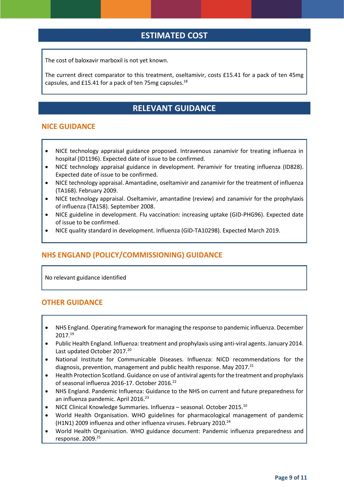## **ESTIMATED COST**

The cost of baloxavir marboxil is not yet known.

The current direct comparator to this treatment, oseltamivir, costs £15.41 for a pack of ten 45mg capsules, and £15.41 for a pack of ten 75mg capsules. $^{18}$ 

## <span id="page-8-0"></span>**RELEVANT GUIDANCE**

#### **NICE GUIDANCE**

- NICE technology appraisal guidance proposed. Intravenous zanamivir for treating influenza in hospital (ID1196). Expected date of issue to be confirmed.
- NICE technology appraisal guidance in development. Peramivir for treating influenza (ID828). Expected date of issue to be confirmed.
- NICE technology appraisal. Amantadine, oseltamivir and zanamivir for the treatment of influenza (TA168). February 2009.
- NICE technology appraisal. Oseltamivir, amantadine (review) and zanamivir for the prophylaxis of influenza (TA158). September 2008.
- NICE guideline in development. Flu vaccination: increasing uptake (GID-PHG96). Expected date of issue to be confirmed.
- NICE quality standard in development. Influenza (GID-TA10298). Expected March 2019.

### **NHS ENGLAND (POLICY/COMMISSIONING) GUIDANCE**

No relevant guidance identified

#### **OTHER GUIDANCE**

- NHS England. Operating framework for managing the response to pandemic influenza. December 2017.<sup>19</sup>
- Public Health England. Influenza: treatment and prophylaxis using anti-viral agents. January 2014. Last updated October 2017.<sup>20</sup>
- National Institute for Communicable Diseases. Influenza: NICD recommendations for the diagnosis, prevention, management and public health response. May 2017.<sup>21</sup>
- Health Protection Scotland. Guidance on use of antiviral agents for the treatment and prophylaxis of seasonal influenza 2016-17. October 2016.<sup>22</sup>
- NHS England. Pandemic Influenza: Guidance to the NHS on current and future preparedness for an influenza pandemic. April 2016.<sup>23</sup>
- NICE Clinical Knowledge Summaries. Influenza seasonal. October 2015.[10](#page-2-1)
- World Health Organisation. WHO guidelines for pharmacological management of pandemic (H1N1) 2009 influenza and other influenza viruses. February 2010.<sup>24</sup>
- World Health Organisation. WHO guidance document: Pandemic influenza preparedness and response. 2009.25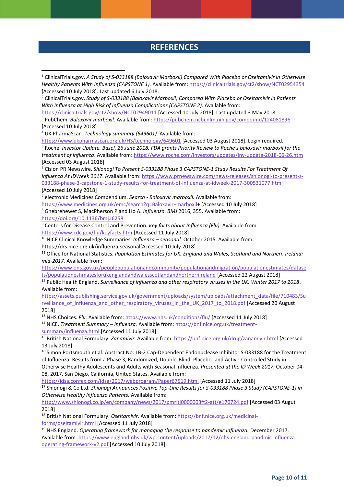## **REFERENCES**

<sup>1</sup> ClinicalTrials.gov. *A Study of S-033188 (Baloxavir Marboxil) Compared With Placebo or Oseltamivir in Otherwise Healthy Patients With Influenza (CAPSTONE 1).* Available from:<https://clinicaltrials.gov/ct2/show/NCT02954354> [Accessed 10 July 2018]. Last updated 6 July 2018.

<sup>2</sup> ClinicalTrials.gov. *Study of S-033188 (Baloxavir Marboxil) Compared With Placebo or Oseltamivir in Patients With Influenza at High Risk of Influenza Complications (CAPSTONE 2).* Available from:

<https://clinicaltrials.gov/ct2/show/NCT02949011> [Accessed 10 July 2018]. Last updated 3 May 2018.

<sup>3</sup> PubChem. *Baloxavir marboxil*. Available from:<https://pubchem.ncbi.nlm.nih.gov/compound/124081896> [Accessed 10 July 2018]

<sup>4</sup> UK PharmaScan. *Technology summary (649601).* Available from:

<https://www.ukpharmascan.org.uk/HS/technology/649601> [Accessed 03 August 2018]. Login required. <sup>5</sup> Roche. *Investor Update. Basel, 26 June 2018. FDA grants Priority Review to Roche's baloxavir marboxil for the treatment of influenza*. Available from[: https://www.roche.com/investors/updates/inv-update-2018-06-26.htm](https://www.roche.com/investors/updates/inv-update-2018-06-26.htm) [Accessed 03 August 2018]

<sup>6</sup> Cision PR Newswire. *Shionogi To Present S-033188 Phase 3 CAPSTONE-1 Study Results For Treatment Of Influenza At IDWeek 2017*. Available from: [https://www.prnewswire.com/news-releases/shionogi-to-present-s-](https://www.prnewswire.com/news-releases/shionogi-to-present-s-033188-phase-3-capstone-1-study-results-for-treatment-of-influenza-at-idweek-2017-300531077.html)[033188-phase-3-capstone-1-study-results-for-treatment-of-influenza-at-idweek-2017-300531077.html](https://www.prnewswire.com/news-releases/shionogi-to-present-s-033188-phase-3-capstone-1-study-results-for-treatment-of-influenza-at-idweek-2017-300531077.html)  [Accessed 10 July 2018]

<sup>7</sup> electronic Medicines Compendium. *Search - Baloxavir marboxil.* Available from:

[https://www.medicines.org.uk/emc/search?q=Baloxavir+marboxil+](https://www.medicines.org.uk/emc/search?q=Baloxavir+marboxil) [Accessed 10 July 2018] <sup>8</sup> Ghebrehewet S, MacPherson P and Ho A. *Influenza. BMJ* 2016; 355. Available from:

<https://doi.org/10.1136/bmj.i6258>

**.** 

<sup>9</sup> Centers for Disease Control and Prevention. *Key facts about Influenza (Flu).* Available from: <https://www.cdc.gov/flu/keyfacts.htm> [Accessed 11 July 2018]

<sup>10</sup> NICE Clinical Knowledge Summaries*. Influenza – seasonal.* October 2015. Available from: https://cks.nice.org.uk/influenza-seasonal[Accessed 10 July 2018]

<sup>11</sup> Office for National Statistics. *Population Estimates for UK, England and Wales, Scotland and Northern Ireland: mid-2017.* Available from:

[https://www.ons.gov.uk/peoplepopulationandcommunity/populationandmigration/populationestimates/datase](https://www.ons.gov.uk/peoplepopulationandcommunity/populationandmigration/populationestimates/datasets/populationestimatesforukenglandandwalesscotlandandnorthernireland) [ts/populationestimatesforukenglandandwalesscotlandandnorthernireland](https://www.ons.gov.uk/peoplepopulationandcommunity/populationandmigration/populationestimates/datasets/populationestimatesforukenglandandwalesscotlandandnorthernireland) [Accessed 22 August 2018]

<sup>12</sup> Public Health England. Surveillance of influenza and other respiratory viruses in the UK: Winter 2017 to 2018. Available from:

[https://assets.publishing.service.gov.uk/government/uploads/system/uploads/attachment\\_data/file/710483/Su](https://assets.publishing.service.gov.uk/government/uploads/system/uploads/attachment_data/file/710483/Surveillance_of_influenza_and_other_respiratory_viruses_in_the_UK_2017_to_2018.pdf) rveillance of influenza and other respiratory viruses in the UK 2017 to 2018.pdf [Accessed 20 August 2018]

<sup>13</sup> NHS Choices. *Flu.* Available from:<https://www.nhs.uk/conditions/flu/> [Accessed 11 July 2018] <sup>14</sup> NICE. *Treatment Summary – Influenza.* Available from: [https://bnf.nice.org.uk/treatment-](https://bnf.nice.org.uk/treatment-summary/influenza.html)

[summary/influenza.html](https://bnf.nice.org.uk/treatment-summary/influenza.html) [Accessed 11 July 2018]

<sup>15</sup> British National Formulary. *Zanamivir.* Available from[: https://bnf.nice.org.uk/drug/zanamivir.html](https://bnf.nice.org.uk/drug/zanamivir.html) [Accessed 13 July 2018]

<sup>16</sup> Simon Portsmouth et al. Abstract No: LB-2 Cap-Dependent Endonuclease Inhibitor S-033188 for the Treatment of Influenza: Results from a Phase 3, Randomized, Double-Blind, Placebo- and Active-Controlled Study in Otherwise Healthy Adolescents and Adults with Seasonal Influenza. *Presented at the ID Week 2017*, October 04- 08, 2017, San Diego, California, United States. Available from:

<https://idsa.confex.com/idsa/2017/webprogram/Paper67519.html> [Accessed 11 July 2018]

<sup>17</sup> Shionogi & Co Ltd. *Shionogi Announces Positive Top-Line Results for S-033188 Phase 3 Study (CAPSTONE-1) in Otherwise Healthy Influenza Patients.* Available from:

<http://www.shionogi.co.jp/en/company/news/2017/pmrltj0000003ft2-att/e170724.pdf> [Accessed 03 Augut 2018]

<sup>18</sup> British National Formulary. *Oseltamivir.* Available from[: https://bnf.nice.org.uk/medicinal](https://bnf.nice.org.uk/medicinal-forms/oseltamivir.html)[forms/oseltamivir.html](https://bnf.nice.org.uk/medicinal-forms/oseltamivir.html) [Accessed 11 July 2018]

<sup>19</sup> NHS England. *Operating framework for managing the response to pandemic influenza. December 2017.* Available from: [https://www.england.nhs.uk/wp-content/uploads/2017/12/nhs-england-pandmic-influenza](https://www.england.nhs.uk/wp-content/uploads/2017/12/nhs-england-pandmic-influenza-operating-framework-v2.pdf)[operating-framework-v2.pdf](https://www.england.nhs.uk/wp-content/uploads/2017/12/nhs-england-pandmic-influenza-operating-framework-v2.pdf) [Accessed 10 July 2018]